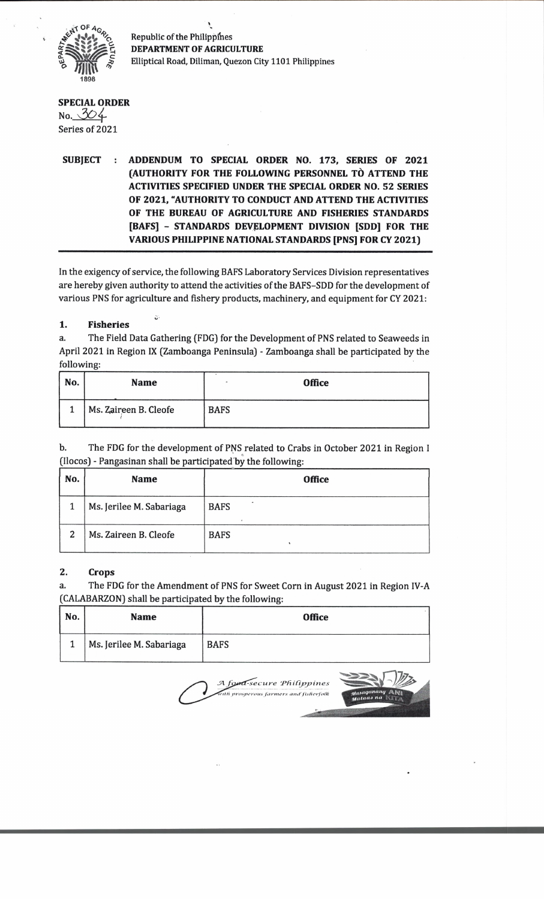

Republic of the Philippines **DEPARTMENT OF AGRICULTURE** Elliptical Road, Diliman, Quezon City 1101 Philippines

### **SPECIAL ORDER**  $No. 304$ Series of 2021

# **SUBJECT : ADDENDUM TO SPECIAL ORDER NO. 173, SERIES OF 2021 (AUTHORITY FOR THE FOLLOWING PERSONNEL TO ATTEND THE ACTIVITIES SPECIFIED UNDER THE SPECIAL ORDER NO. 52 SERIES OF 2021, "AUTHORITY TO CONDUCT AND ATTEND THE ACTIVITIES OF THE BUREAU OF AGRICULTURE AND FISHERIES STANDARDS [BAFS] - STANDARDS DEVELOPMENT DIVISION [SDD] FOR THE VARIOUS PHILIPPINE NATIONAL STANDARDS [PNS] FOR CY 2021)**

In the exigency of service, the following BAFS Laboratory Services Division representatives are hereby given authority to attend the activities of the BAFS-SDD for the development of various PNS for agriculture and fishery products, machinery, and equipment for CY 2021:

# **1. Fisheries**

O'

a. The Field Data Gathering (FDG) for the Development of PNS related to Seaweeds in April 2021 in Region IX (Zamboanga Peninsula) - Zamboanga shall be participated by the following:

| No. | <b>Name</b>           |             | <b>Office</b> |
|-----|-----------------------|-------------|---------------|
|     | Ms. Zaireen B. Cleofe | <b>BAFS</b> |               |

| b. | The FDG for the development of PNS related to Crabs in October 2021 in Region I |
|----|---------------------------------------------------------------------------------|
|    | (Ilocos) - Pangasinan shall be participated by the following:                   |

| No. | <b>Name</b>              | <b>Office</b> |
|-----|--------------------------|---------------|
|     | Ms. Jerilee M. Sabariaga | <b>BAFS</b>   |
| 2   | Ms. Zaireen B. Cleofe    | <b>BAFS</b>   |

#### **2. Crops**

a. The FDG for the Amendment of PNS for Sweet Corn in August 2021 in Region IV-A CALABARZON) shall be participated by the following:

| No. | <b>Name</b>              | <b>Office</b> |
|-----|--------------------------|---------------|
|     | Ms. Jerilee M. Sabariaga | <b>BAFS</b>   |

food-secure Philippines prosperous farmers and fisherfolk